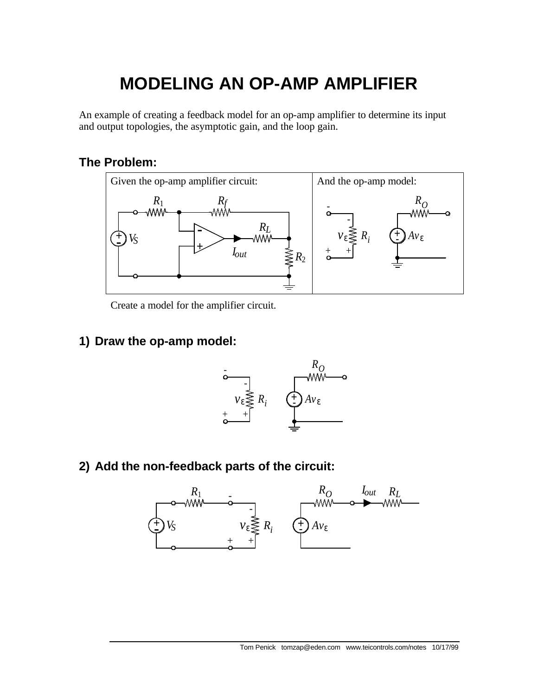# **MODELING AN OP-AMP AMPLIFIER**

An example of creating a feedback model for an op-amp amplifier to determine its input and output topologies, the asymptotic gain, and the loop gain.

## **The Problem:**



Create a model for the amplifier circuit.

#### **1) Draw the op-amp model:**



**2) Add the non-feedback parts of the circuit:**

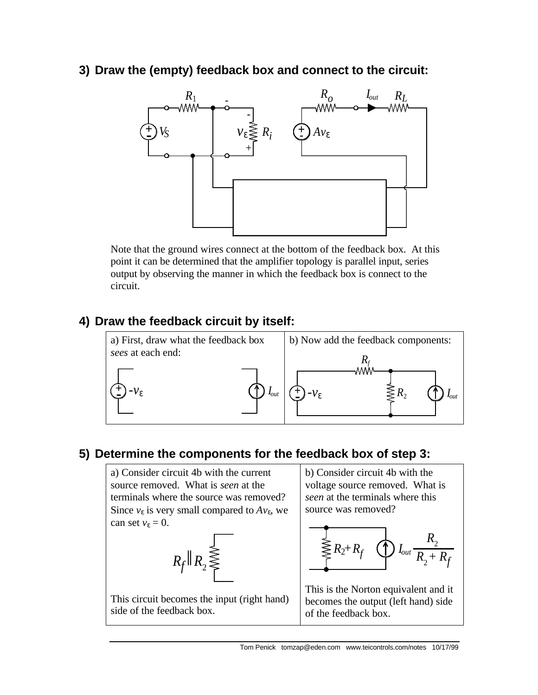**3) Draw the (empty) feedback box and connect to the circuit:**



Note that the ground wires connect at the bottom of the feedback box. At this point it can be determined that the amplifier topology is parallel input, series output by observing the manner in which the feedback box is connect to the circuit.

## **4) Draw the feedback circuit by itself:**



## **5) Determine the components for the feedback box of step 3:**

a) Consider circuit 4b with the current source removed. What is *seen* at the terminals where the source was removed? Since  $v_{\varepsilon}$  is very small compared to  $Av_{\varepsilon}$ , we can set  $v_{\varepsilon} = 0$ .



This circuit becomes the input (right hand) side of the feedback box.

b) Consider circuit 4b with the voltage source removed. What is *seen* at the terminals where this source was removed?



This is the Norton equivalent and it becomes the output (left hand) side of the feedback box.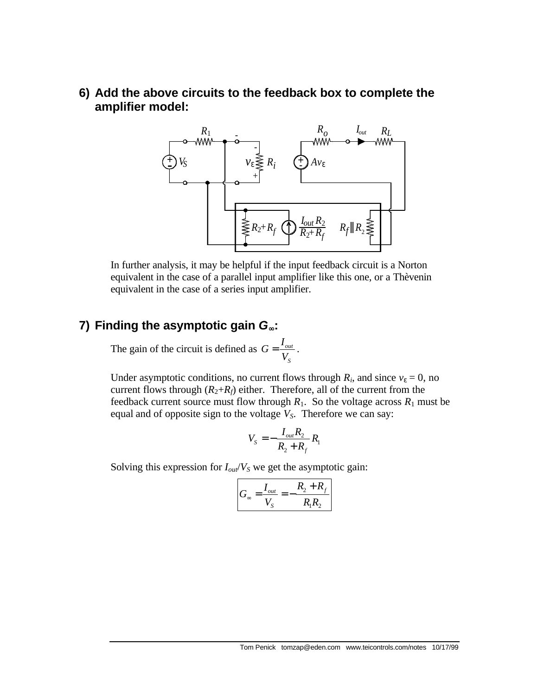**6) Add the above circuits to the feedback box to complete the amplifier model:**



In further analysis, it may be helpful if the input feedback circuit is a Norton equivalent in the case of a parallel input amplifier like this one, or a Thèvenin equivalent in the case of a series input amplifier.

## **7) Finding the asymptotic gain** *G¥***:**

The gain of the circuit is defined as  $G = \frac{I_{out}}{I}$ *S*  $G = \frac{I}{I}$ *V*  $=\frac{I_{out}}{I}$ .

Under asymptotic conditions, no current flows through  $R_i$ , and since  $v_{\varepsilon} = 0$ , no current flows through  $(R_2+R_f)$  either. Therefore, all of the current from the feedback current source must flow through  $R_1$ . So the voltage across  $R_1$  must be equal and of opposite sign to the voltage *VS*. Therefore we can say:

$$
V_s = -\frac{I_{out}R_2}{R_2 + R_f}R_1
$$

Solving this expression for  $I_{out}/V_S$  we get the asymptotic gain:

$$
G_{\infty} = \frac{I_{out}}{V_S} = -\frac{R_2 + R_f}{R_1 R_2}
$$